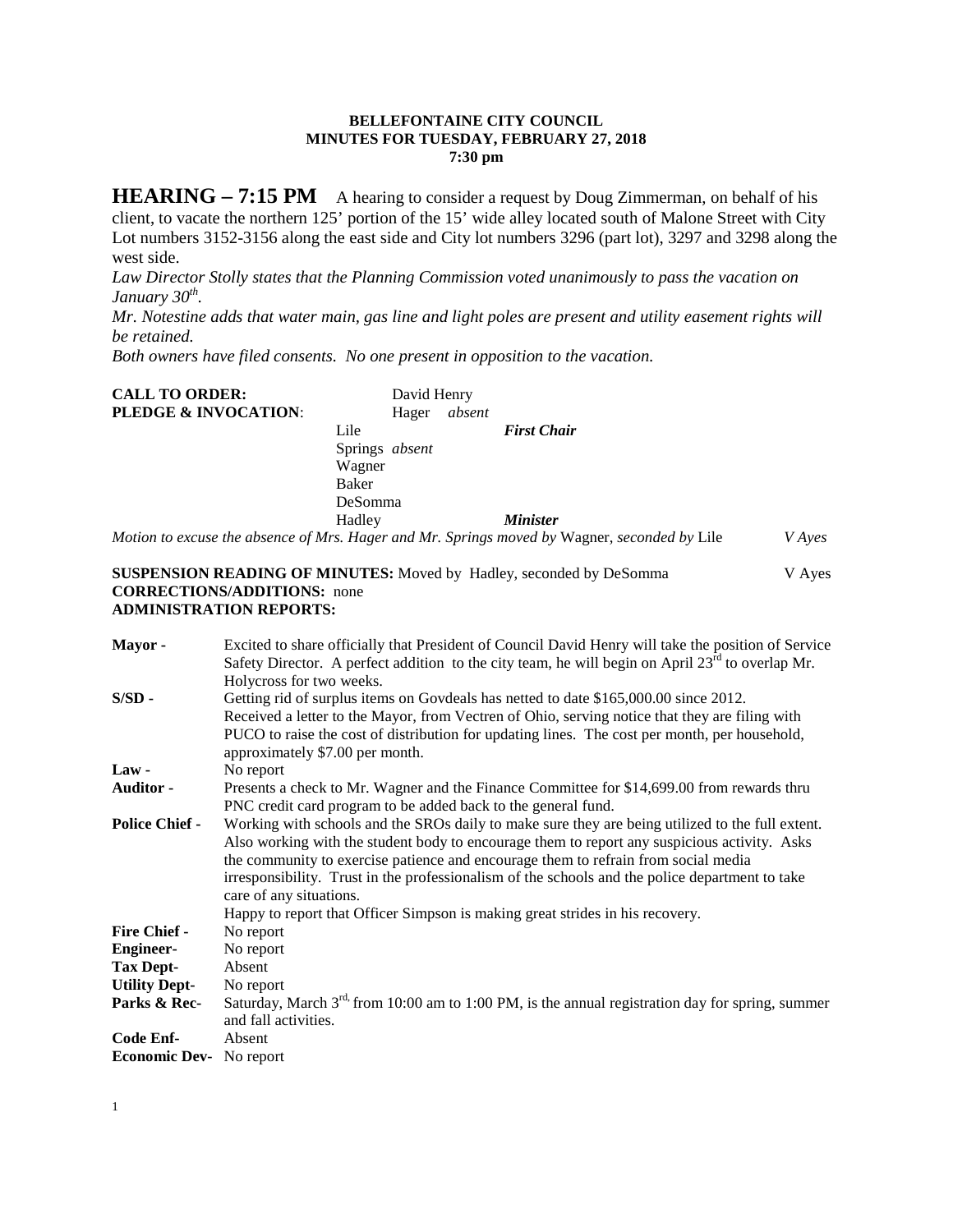## **BELLEFONTAINE CITY COUNCIL MINUTES FOR TUESDAY, FEBRUARY 27, 2018 7:30 pm**

**HEARING – 7:15 PM** A hearing to consider a request by Doug Zimmerman, on behalf of his client, to vacate the northern 125' portion of the 15' wide alley located south of Malone Street with City Lot numbers 3152-3156 along the east side and City lot numbers 3296 (part lot), 3297 and 3298 along the west side.

*Law Director Stolly states that the Planning Commission voted unanimously to pass the vacation on January 30th.* 

*Mr. Notestine adds that water main, gas line and light poles are present and utility easement rights will be retained.*

*Both owners have filed consents. No one present in opposition to the vacation.*

| <b>CALL TO ORDER:</b>           | David Henry           |       |        |                                                                                              |               |
|---------------------------------|-----------------------|-------|--------|----------------------------------------------------------------------------------------------|---------------|
| <b>PLEDGE &amp; INVOCATION:</b> |                       | Hager | absent |                                                                                              |               |
|                                 | Lile                  |       |        | <b>First Chair</b>                                                                           |               |
|                                 | Springs <i>absent</i> |       |        |                                                                                              |               |
|                                 | Wagner                |       |        |                                                                                              |               |
|                                 | Baker                 |       |        |                                                                                              |               |
|                                 | DeSomma               |       |        |                                                                                              |               |
|                                 | Hadley                |       |        | <i><b>Minister</b></i>                                                                       |               |
|                                 |                       |       |        | Motion to excuse the absence of Mrs. Hager and Mr. Springs moved by Wagner, seconded by Lile | <i>V</i> Aves |

**SUSPENSION READING OF MINUTES:** Moved by Hadley, seconded by DeSomma V Ayes **CORRECTIONS/ADDITIONS:** none **ADMINISTRATION REPORTS:**

| Mayor-                         | Excited to share officially that President of Council David Henry will take the position of Service          |
|--------------------------------|--------------------------------------------------------------------------------------------------------------|
|                                | Safety Director. A perfect addition to the city team, he will begin on April $23rd$ to overlap Mr.           |
|                                | Holycross for two weeks.                                                                                     |
| $S/SD$ -                       | Getting rid of surplus items on Govdeals has netted to date \$165,000.00 since 2012.                         |
|                                | Received a letter to the Mayor, from Vectren of Ohio, serving notice that they are filing with               |
|                                | PUCO to raise the cost of distribution for updating lines. The cost per month, per household,                |
|                                | approximately \$7.00 per month.                                                                              |
| $Law -$                        | No report                                                                                                    |
| Auditor -                      | Presents a check to Mr. Wagner and the Finance Committee for \$14,699.00 from rewards thru                   |
|                                | PNC credit card program to be added back to the general fund.                                                |
| <b>Police Chief -</b>          | Working with schools and the SROs daily to make sure they are being utilized to the full extent.             |
|                                | Also working with the student body to encourage them to report any suspicious activity. Asks                 |
|                                | the community to exercise patience and encourage them to refrain from social media                           |
|                                | irresponsibility. Trust in the professionalism of the schools and the police department to take              |
|                                | care of any situations.                                                                                      |
|                                | Happy to report that Officer Simpson is making great strides in his recovery.                                |
| <b>Fire Chief -</b>            | No report                                                                                                    |
| <b>Engineer-</b>               | No report                                                                                                    |
| <b>Tax Dept-</b>               | Absent                                                                                                       |
| <b>Utility Dept-</b>           | No report                                                                                                    |
| Parks & Rec-                   | Saturday, March 3 <sup>rd,</sup> from 10:00 am to 1:00 PM, is the annual registration day for spring, summer |
|                                | and fall activities.                                                                                         |
| Code Enf-                      | Absent                                                                                                       |
| <b>Economic Dev-</b> No report |                                                                                                              |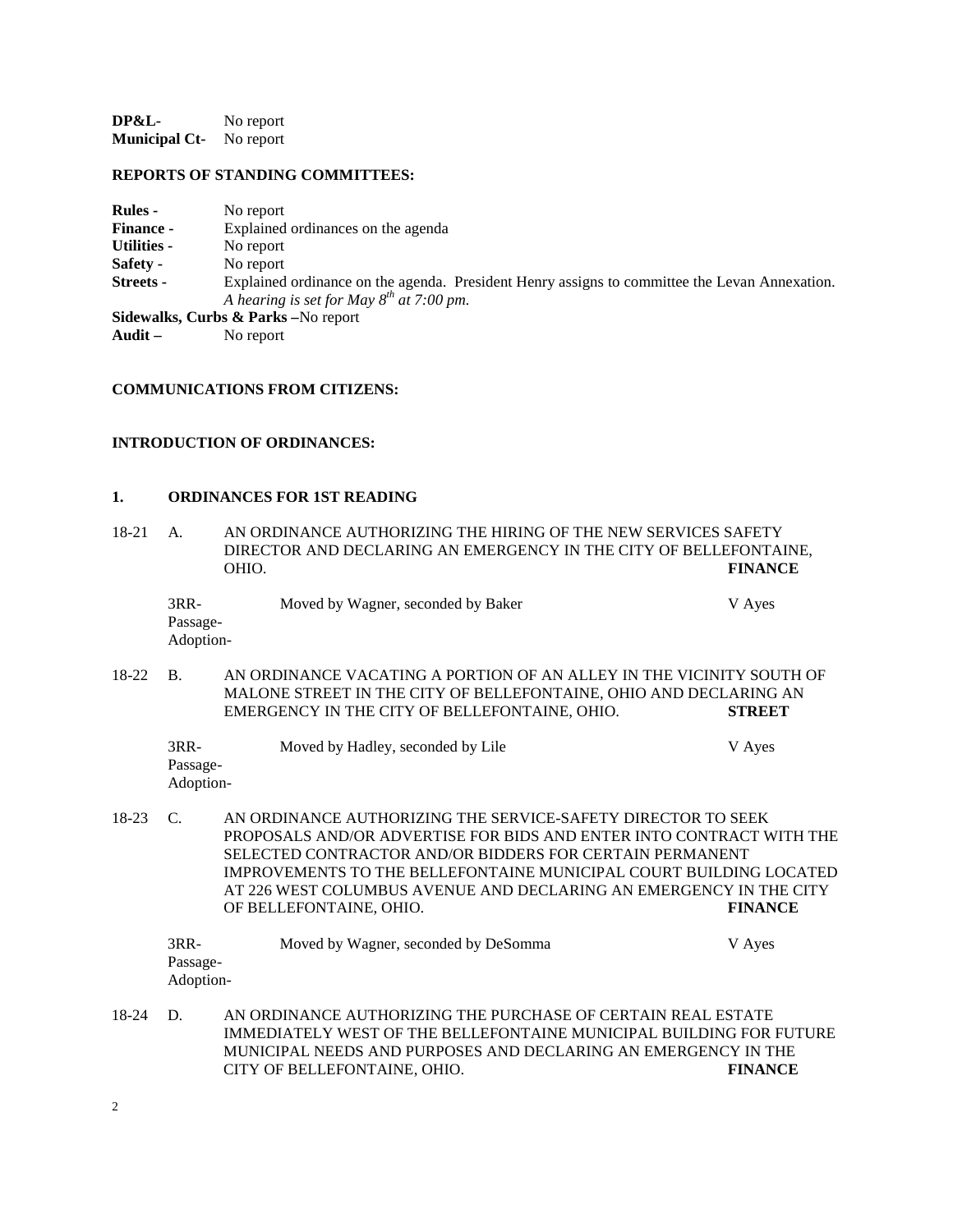**DP&L-** No report **Municipal Ct-** No report

## **REPORTS OF STANDING COMMITTEES:**

| <b>Rules</b> -     | No report                                                                                     |
|--------------------|-----------------------------------------------------------------------------------------------|
| <b>Finance -</b>   | Explained ordinances on the agenda                                                            |
| <b>Utilities -</b> | No report                                                                                     |
| Safety -           | No report                                                                                     |
| Streets -          | Explained ordinance on the agenda. President Henry assigns to committee the Levan Annexation. |
|                    | A hearing is set for May $8^{th}$ at 7:00 pm.                                                 |
|                    | Sidewalks, Curbs & Parks - No report                                                          |

**Audit –** No report

## **COMMUNICATIONS FROM CITIZENS:**

### **INTRODUCTION OF ORDINANCES:**

### **1. ORDINANCES FOR 1ST READING**

| $18 - 21$ | A.                              | AN ORDINANCE AUTHORIZING THE HIRING OF THE NEW SERVICES SAFETY<br>DIRECTOR AND DECLARING AN EMERGENCY IN THE CITY OF BELLEFONTAINE,<br>OHIO.                                                                                                                                                                                                                            | <b>FINANCE</b> |
|-----------|---------------------------------|-------------------------------------------------------------------------------------------------------------------------------------------------------------------------------------------------------------------------------------------------------------------------------------------------------------------------------------------------------------------------|----------------|
|           | $3RR-$<br>Passage-<br>Adoption- | Moved by Wagner, seconded by Baker                                                                                                                                                                                                                                                                                                                                      | V Ayes         |
| $18-22$   | B <sub>1</sub>                  | AN ORDINANCE VACATING A PORTION OF AN ALLEY IN THE VICINITY SOUTH OF<br>MALONE STREET IN THE CITY OF BELLEFONTAINE, OHIO AND DECLARING AN<br>EMERGENCY IN THE CITY OF BELLEFONTAINE, OHIO.                                                                                                                                                                              | <b>STREET</b>  |
|           | $3RR-$<br>Passage-<br>Adoption- | Moved by Hadley, seconded by Lile                                                                                                                                                                                                                                                                                                                                       | V Ayes         |
| $18-23$   | $\mathcal{C}$ .                 | AN ORDINANCE AUTHORIZING THE SERVICE-SAFETY DIRECTOR TO SEEK<br>PROPOSALS AND/OR ADVERTISE FOR BIDS AND ENTER INTO CONTRACT WITH THE<br>SELECTED CONTRACTOR AND/OR BIDDERS FOR CERTAIN PERMANENT<br>IMPROVEMENTS TO THE BELLEFONTAINE MUNICIPAL COURT BUILDING LOCATED<br>AT 226 WEST COLUMBUS AVENUE AND DECLARING AN EMERGENCY IN THE CITY<br>OF BELLEFONTAINE, OHIO. | <b>FINANCE</b> |
|           | $3RR-$<br>Passage-<br>Adoption- | Moved by Wagner, seconded by DeSomma                                                                                                                                                                                                                                                                                                                                    | V Ayes         |
| $18-24$   | D.                              | AN ORDINANCE AUTHORIZING THE PURCHASE OF CERTAIN REAL ESTATE<br>IMMEDIATELY WEST OF THE BELLEFONTAINE MUNICIPAL BUILDING FOR FUTURE<br>MUNICIPAL NEEDS AND PURPOSES AND DECLARING AN EMERGENCY IN THE<br>CITY OF BELLEFONTAINE, OHIO.                                                                                                                                   | <b>FINANCE</b> |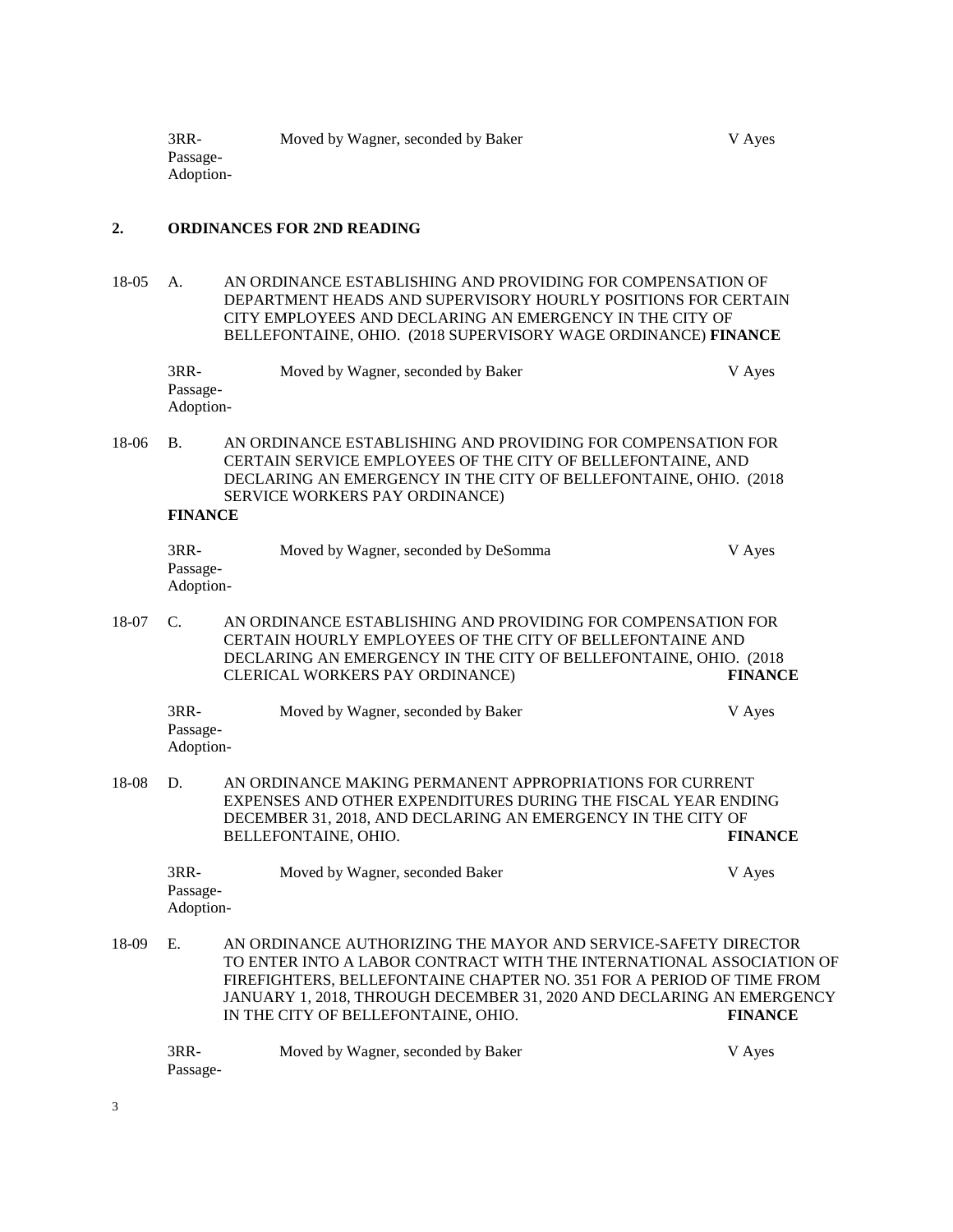#### **2. ORDINANCES FOR 2ND READING**

18-05 A. AN ORDINANCE ESTABLISHING AND PROVIDING FOR COMPENSATION OF DEPARTMENT HEADS AND SUPERVISORY HOURLY POSITIONS FOR CERTAIN CITY EMPLOYEES AND DECLARING AN EMERGENCY IN THE CITY OF BELLEFONTAINE, OHIO. (2018 SUPERVISORY WAGE ORDINANCE) **FINANCE**

| $3RR-$    | Moved by Wagner, seconded by Baker | V Aves |
|-----------|------------------------------------|--------|
| Passage-  |                                    |        |
| Adoption- |                                    |        |

18-06 B. AN ORDINANCE ESTABLISHING AND PROVIDING FOR COMPENSATION FOR CERTAIN SERVICE EMPLOYEES OF THE CITY OF BELLEFONTAINE, AND DECLARING AN EMERGENCY IN THE CITY OF BELLEFONTAINE, OHIO. (2018 SERVICE WORKERS PAY ORDINANCE)

#### **FINANCE**

| 3RR-      | Moved by Wagner, seconded by DeSomma | V Ayes |
|-----------|--------------------------------------|--------|
| Passage-  |                                      |        |
| Adoption- |                                      |        |

18-07 C. AN ORDINANCE ESTABLISHING AND PROVIDING FOR COMPENSATION FOR CERTAIN HOURLY EMPLOYEES OF THE CITY OF BELLEFONTAINE AND DECLARING AN EMERGENCY IN THE CITY OF BELLEFONTAINE, OHIO. (2018 CLERICAL WORKERS PAY ORDINANCE) **FINANCE**

| 3RR-      | Moved by Wagner, seconded by Baker | V Aves |
|-----------|------------------------------------|--------|
| Passage-  |                                    |        |
| Adoption- |                                    |        |

18-08 D. AN ORDINANCE MAKING PERMANENT APPROPRIATIONS FOR CURRENT EXPENSES AND OTHER EXPENDITURES DURING THE FISCAL YEAR ENDING DECEMBER 31, 2018, AND DECLARING AN EMERGENCY IN THE CITY OF BELLEFONTAINE, OHIO. **FINANCE**

| 3RR-      | Moved by Wagner, seconded Baker | V Ayes |
|-----------|---------------------------------|--------|
| Passage-  |                                 |        |
| Adoption- |                                 |        |

18-09 E. AN ORDINANCE AUTHORIZING THE MAYOR AND SERVICE-SAFETY DIRECTOR TO ENTER INTO A LABOR CONTRACT WITH THE INTERNATIONAL ASSOCIATION OF FIREFIGHTERS, BELLEFONTAINE CHAPTER NO. 351 FOR A PERIOD OF TIME FROM JANUARY 1, 2018, THROUGH DECEMBER 31, 2020 AND DECLARING AN EMERGENCY IN THE CITY OF BELLEFONTAINE, OHIO. **FINANCE**

| 3RR-     | Moved by Wagner, seconded by Baker | V Ayes |
|----------|------------------------------------|--------|
| Passage- |                                    |        |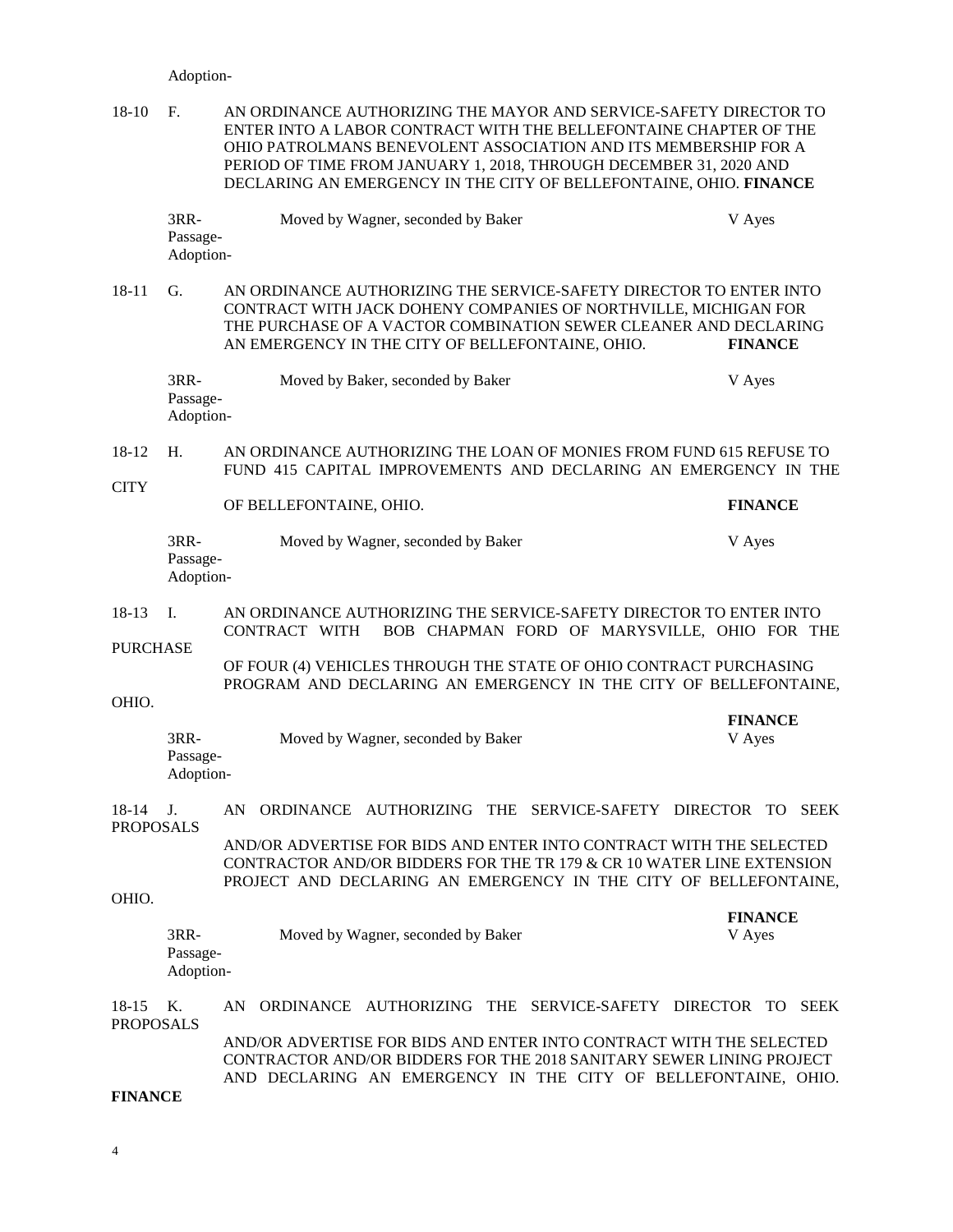#### Adoption-

| 18-10 | - F                | AN ORDINANCE AUTHORIZING THE MAYOR AND SERVICE-SAFETY DIRECTOR TO<br>ENTER INTO A LABOR CONTRACT WITH THE BELLEFONTAINE CHAPTER OF THE<br>OHIO PATROLMANS BENEVOLENT ASSOCIATION AND ITS MEMBERSHIP FOR A<br>PERIOD OF TIME FROM JANUARY 1, 2018, THROUGH DECEMBER 31, 2020 AND<br>DECLARING AN EMERGENCY IN THE CITY OF BELLEFONTAINE, OHIO. FINANCE |        |
|-------|--------------------|-------------------------------------------------------------------------------------------------------------------------------------------------------------------------------------------------------------------------------------------------------------------------------------------------------------------------------------------------------|--------|
|       | $3RR-$<br>Passage- | Moved by Wagner, seconded by Baker                                                                                                                                                                                                                                                                                                                    | V Ayes |

Adoption-

18-11 G. AN ORDINANCE AUTHORIZING THE SERVICE-SAFETY DIRECTOR TO ENTER INTO CONTRACT WITH JACK DOHENY COMPANIES OF NORTHVILLE, MICHIGAN FOR THE PURCHASE OF A VACTOR COMBINATION SEWER CLEANER AND DECLARING AN EMERGENCY IN THE CITY OF BELLEFONTAINE, OHIO. **FINANCE**

| 3RR-      | Moved by Baker, seconded by Baker | V Aves |
|-----------|-----------------------------------|--------|
| Passage-  |                                   |        |
| Adoption- |                                   |        |

18-12 H. AN ORDINANCE AUTHORIZING THE LOAN OF MONIES FROM FUND 615 REFUSE TO FUND 415 CAPITAL IMPROVEMENTS AND DECLARING AN EMERGENCY IN THE

**CITY** 

OF BELLEFONTAINE, OHIO. **FINANCE**

| 3RR-      | Moved by Wagner, seconded by Baker | V Ayes |
|-----------|------------------------------------|--------|
| Passage-  |                                    |        |
| Adoption- |                                    |        |

18-13 I. AN ORDINANCE AUTHORIZING THE SERVICE-SAFETY DIRECTOR TO ENTER INTO CONTRACT WITH BOB CHAPMAN FORD OF MARYSVILLE, OHIO FOR THE

PURCHASE

OF FOUR (4) VEHICLES THROUGH THE STATE OF OHIO CONTRACT PURCHASING PROGRAM AND DECLARING AN EMERGENCY IN THE CITY OF BELLEFONTAINE,

**FINANCE**

**FINANCE**

OHIO.

| $3RR-$    | Moved by Wagner, seconded by Baker | V Ayes |
|-----------|------------------------------------|--------|
| Passage-  |                                    |        |
| Adoption- |                                    |        |

## 18-14 J. AN ORDINANCE AUTHORIZING THE SERVICE-SAFETY DIRECTOR TO SEEK PROPOSALS

AND/OR ADVERTISE FOR BIDS AND ENTER INTO CONTRACT WITH THE SELECTED CONTRACTOR AND/OR BIDDERS FOR THE TR 179 & CR 10 WATER LINE EXTENSION PROJECT AND DECLARING AN EMERGENCY IN THE CITY OF BELLEFONTAINE,

OHIO.

| 3RR-      | Moved by Wagner, seconded by Baker | V Aves |
|-----------|------------------------------------|--------|
| Passage-  |                                    |        |
| Adoption- |                                    |        |

#### 18-15 K. AN ORDINANCE AUTHORIZING THE SERVICE-SAFETY DIRECTOR TO SEEK PROPOSALS AND/OR ADVERTISE FOR BIDS AND ENTER INTO CONTRACT WITH THE SELECTED CONTRACTOR AND/OR BIDDERS FOR THE 2018 SANITARY SEWER LINING PROJECT

AND DECLARING AN EMERGENCY IN THE CITY OF BELLEFONTAINE, OHIO.

**FINANCE**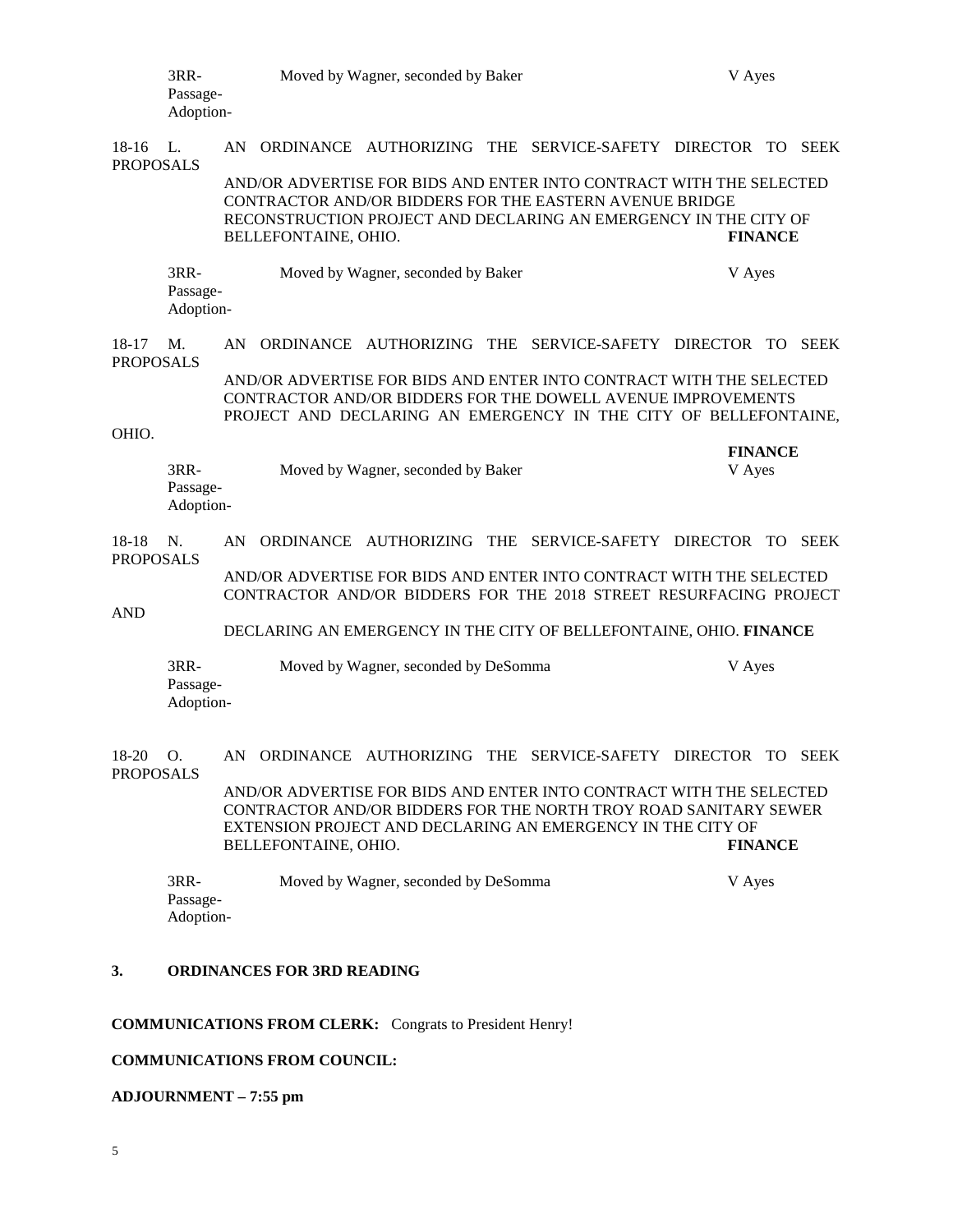| 3RR-<br>Passage-<br>Adoption-           |                               | Moved by Wagner, seconded by Baker                                                                                                                                                                                                               |           |                                      |     |                                                                    | V Ayes |                |             |  |
|-----------------------------------------|-------------------------------|--------------------------------------------------------------------------------------------------------------------------------------------------------------------------------------------------------------------------------------------------|-----------|--------------------------------------|-----|--------------------------------------------------------------------|--------|----------------|-------------|--|
| $18-16$<br><b>PROPOSALS</b>             | L.                            | AN                                                                                                                                                                                                                                               |           |                                      |     | ORDINANCE AUTHORIZING THE SERVICE-SAFETY DIRECTOR TO               |        |                | SEEK        |  |
|                                         |                               | AND/OR ADVERTISE FOR BIDS AND ENTER INTO CONTRACT WITH THE SELECTED<br>CONTRACTOR AND/OR BIDDERS FOR THE EASTERN AVENUE BRIDGE<br>RECONSTRUCTION PROJECT AND DECLARING AN EMERGENCY IN THE CITY OF<br><b>FINANCE</b><br>BELLEFONTAINE, OHIO.     |           |                                      |     |                                                                    |        |                |             |  |
|                                         | 3RR-<br>Passage-<br>Adoption- |                                                                                                                                                                                                                                                  |           | Moved by Wagner, seconded by Baker   |     |                                                                    |        | V Ayes         |             |  |
| $18-17$<br><b>PROPOSALS</b>             | M.                            | AN.                                                                                                                                                                                                                                              |           |                                      |     | ORDINANCE AUTHORIZING THE SERVICE-SAFETY DIRECTOR TO               |        |                | <b>SEEK</b> |  |
|                                         |                               | AND/OR ADVERTISE FOR BIDS AND ENTER INTO CONTRACT WITH THE SELECTED<br>CONTRACTOR AND/OR BIDDERS FOR THE DOWELL AVENUE IMPROVEMENTS<br>PROJECT AND DECLARING AN EMERGENCY IN THE CITY OF BELLEFONTAINE,                                          |           |                                      |     |                                                                    |        |                |             |  |
| OHIO.                                   |                               |                                                                                                                                                                                                                                                  |           |                                      |     |                                                                    |        | <b>FINANCE</b> |             |  |
|                                         | 3RR-<br>Passage-<br>Adoption- |                                                                                                                                                                                                                                                  |           | Moved by Wagner, seconded by Baker   |     |                                                                    |        | V Ayes         |             |  |
| 18-18<br><b>PROPOSALS</b><br><b>AND</b> | N.                            | AN                                                                                                                                                                                                                                               | ORDINANCE | AUTHORIZING                          | THE | SERVICE-SAFETY DIRECTOR                                            |        | TO.            | <b>SEEK</b> |  |
|                                         |                               | AND/OR ADVERTISE FOR BIDS AND ENTER INTO CONTRACT WITH THE SELECTED<br>CONTRACTOR AND/OR BIDDERS FOR THE 2018 STREET RESURFACING PROJECT                                                                                                         |           |                                      |     |                                                                    |        |                |             |  |
|                                         |                               |                                                                                                                                                                                                                                                  |           |                                      |     | DECLARING AN EMERGENCY IN THE CITY OF BELLEFONTAINE, OHIO. FINANCE |        |                |             |  |
|                                         | 3RR-<br>Passage-<br>Adoption- |                                                                                                                                                                                                                                                  |           | Moved by Wagner, seconded by DeSomma |     |                                                                    |        | V Ayes         |             |  |
| 18-20<br><b>PROPOSALS</b>               | О.                            |                                                                                                                                                                                                                                                  |           | AN ORDINANCE AUTHORIZING             |     | THE SERVICE-SAFETY DIRECTOR                                        |        |                | TO SEEK     |  |
|                                         |                               | AND/OR ADVERTISE FOR BIDS AND ENTER INTO CONTRACT WITH THE SELECTED<br>CONTRACTOR AND/OR BIDDERS FOR THE NORTH TROY ROAD SANITARY SEWER<br>EXTENSION PROJECT AND DECLARING AN EMERGENCY IN THE CITY OF<br><b>FINANCE</b><br>BELLEFONTAINE, OHIO. |           |                                      |     |                                                                    |        |                |             |  |
|                                         | 3RR-<br>Passage-              |                                                                                                                                                                                                                                                  |           | Moved by Wagner, seconded by DeSomma |     |                                                                    |        | V Ayes         |             |  |

Adoption-

## **3. ORDINANCES FOR 3RD READING**

# **COMMUNICATIONS FROM CLERK:** Congrats to President Henry!

## **COMMUNICATIONS FROM COUNCIL:**

# **ADJOURNMENT – 7:55 pm**